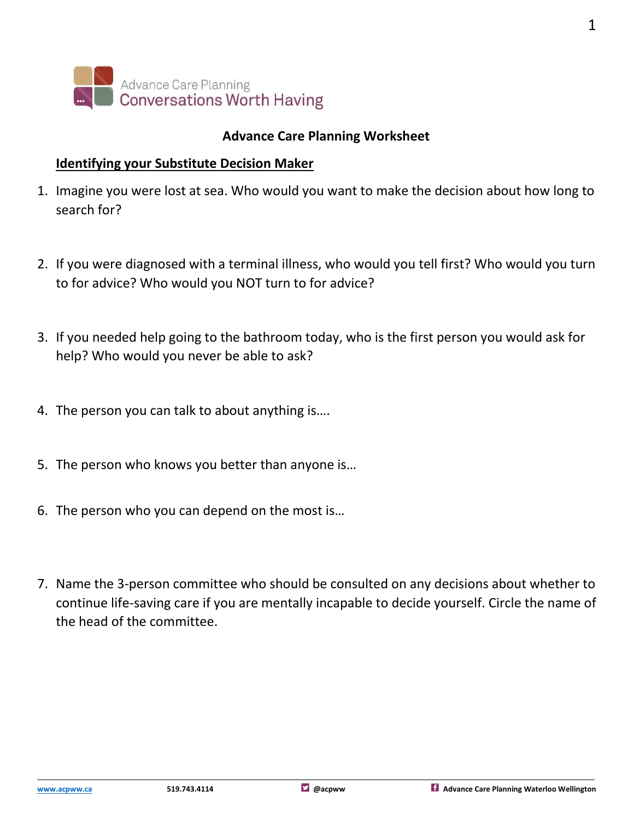

## **Advance Care Planning Worksheet**

#### **Identifying your Substitute Decision Maker**

- 1. Imagine you were lost at sea. Who would you want to make the decision about how long to search for?
- 2. If you were diagnosed with a terminal illness, who would you tell first? Who would you turn to for advice? Who would you NOT turn to for advice?
- 3. If you needed help going to the bathroom today, who is the first person you would ask for help? Who would you never be able to ask?
- 4. The person you can talk to about anything is….
- 5. The person who knows you better than anyone is…
- 6. The person who you can depend on the most is…
- 7. Name the 3-person committee who should be consulted on any decisions about whether to continue life-saving care if you are mentally incapable to decide yourself. Circle the name of the head of the committee.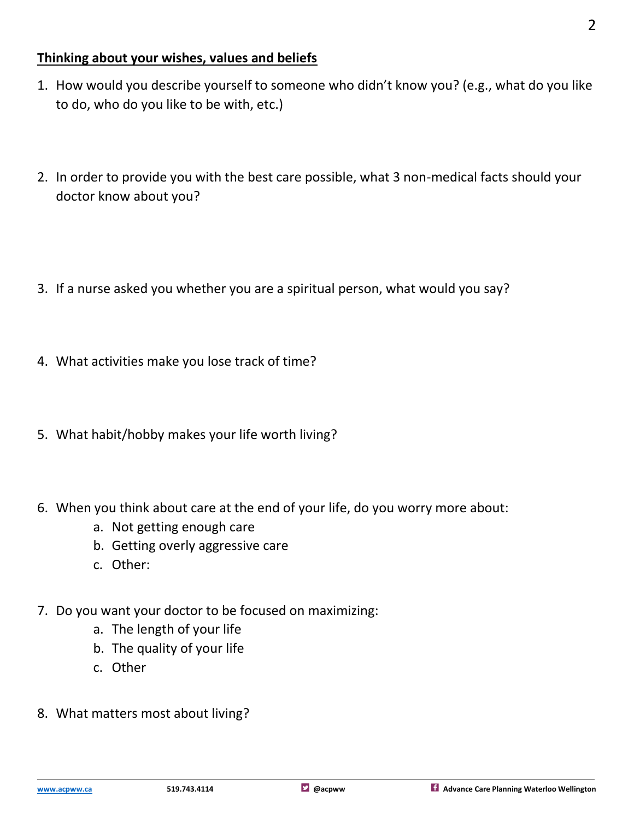## **Thinking about your wishes, values and beliefs**

- 1. How would you describe yourself to someone who didn't know you? (e.g., what do you like to do, who do you like to be with, etc.)
- 2. In order to provide you with the best care possible, what 3 non-medical facts should your doctor know about you?
- 3. If a nurse asked you whether you are a spiritual person, what would you say?
- 4. What activities make you lose track of time?
- 5. What habit/hobby makes your life worth living?
- 6. When you think about care at the end of your life, do you worry more about:
	- a. Not getting enough care
	- b. Getting overly aggressive care
	- c. Other:
- 7. Do you want your doctor to be focused on maximizing:
	- a. The length of your life
	- b. The quality of your life
	- c. Other
- 8. What matters most about living?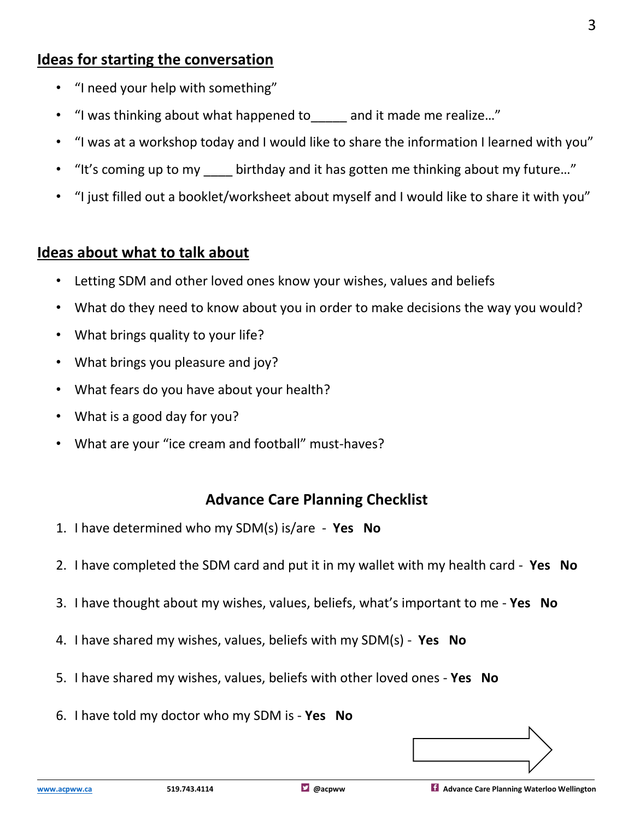# **Ideas for starting the conversation**

- "I need your help with something"
- "I was thinking about what happened to and it made me realize..."
- "I was at a workshop today and I would like to share the information I learned with you"
- "It's coming up to my birthday and it has gotten me thinking about my future..."
- "I just filled out a booklet/worksheet about myself and I would like to share it with you"

## **Ideas about what to talk about**

- Letting SDM and other loved ones know your wishes, values and beliefs
- What do they need to know about you in order to make decisions the way you would?
- What brings quality to your life?
- What brings you pleasure and joy?
- What fears do you have about your health?
- What is a good day for you?
- What are your "ice cream and football" must-haves?

# **Advance Care Planning Checklist**

- 1. I have determined who my SDM(s) is/are **Yes No**
- 2. I have completed the SDM card and put it in my wallet with my health card **Yes No**
- 3. I have thought about my wishes, values, beliefs, what's important to me **Yes No**
- 4. I have shared my wishes, values, beliefs with my SDM(s) **Yes No**
- 5. I have shared my wishes, values, beliefs with other loved ones **Yes No**
- 6. I have told my doctor who my SDM is **Yes No**

3